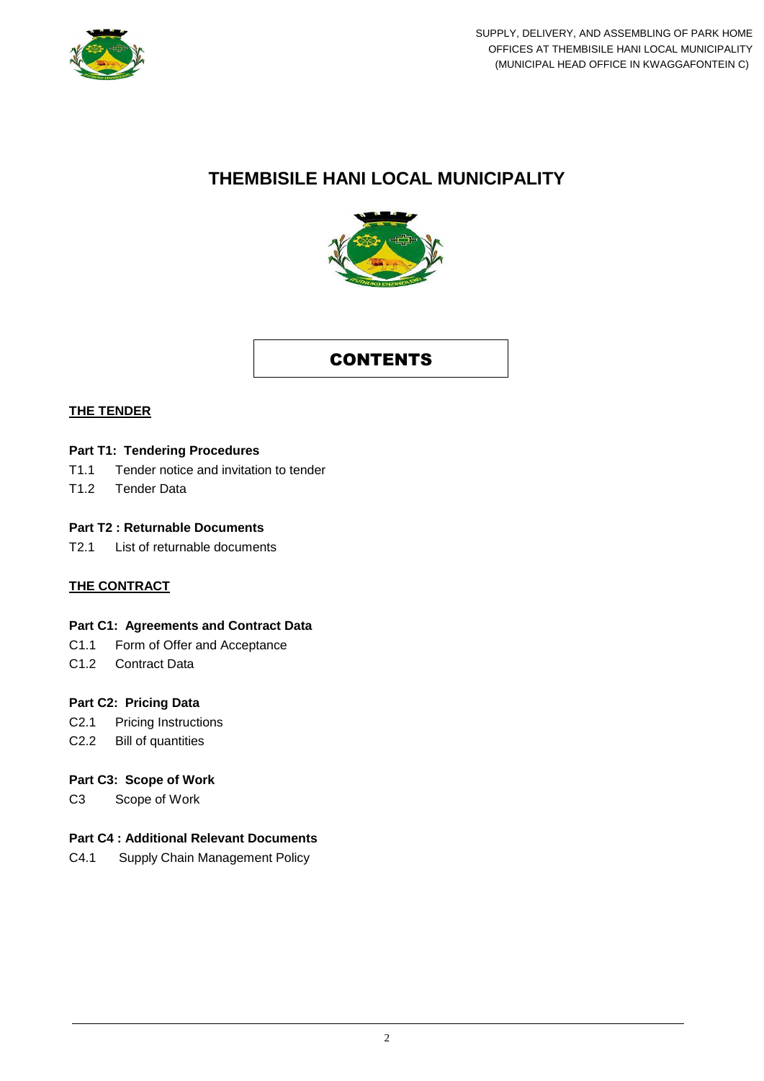

# **THEMBISILE HANI LOCAL MUNICIPALITY**



## **CONTENTS**

#### **THE TENDER**

#### **Part T1: Tendering Procedures**

- T1.1 Tender notice and invitation to tender
- T1.2 Tender Data

#### **Part T2 : Returnable Documents**

T2.1 List of returnable documents

#### **THE CONTRACT**

#### **Part C1: Agreements and Contract Data**

- C1.1 Form of Offer and Acceptance
- C1.2 Contract Data

#### **Part C2: Pricing Data**

- C2.1 Pricing Instructions
- C2.2 Bill of quantities

#### **Part C3: Scope of Work**

C3 Scope of Work

### **Part C4 : Additional Relevant Documents**

C4.1 Supply Chain Management Policy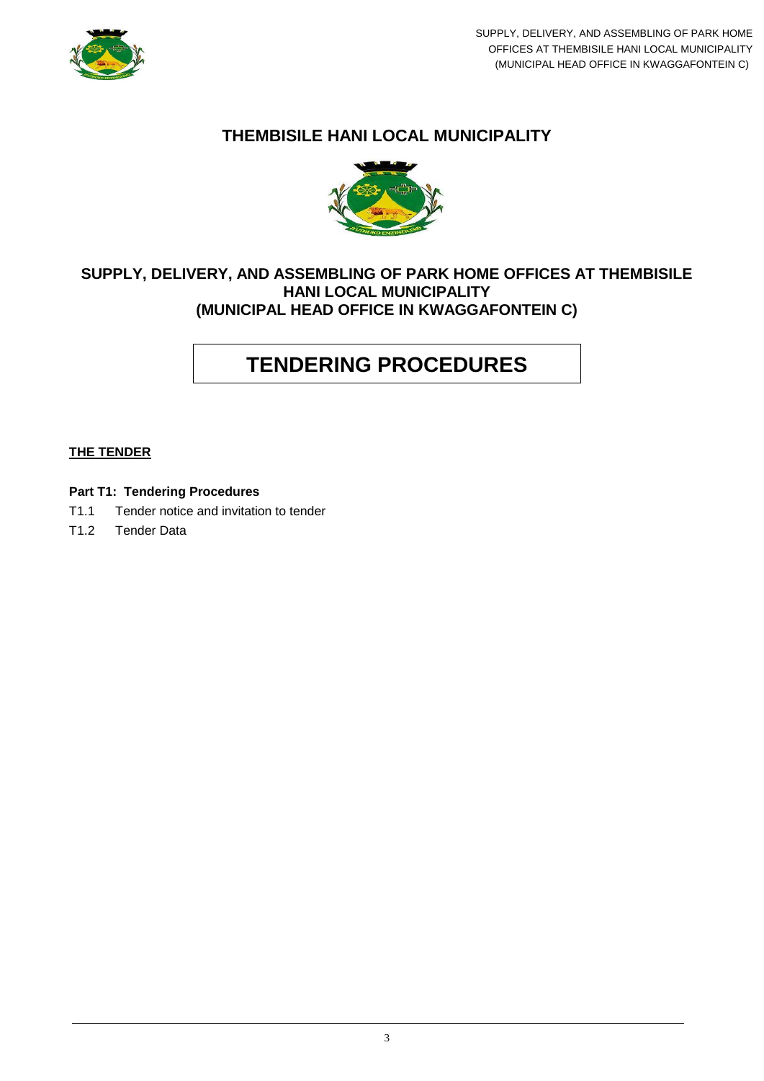

## **THEMBISILE HANI LOCAL MUNICIPALITY**



## **SUPPLY, DELIVERY, AND ASSEMBLING OF PARK HOME OFFICES AT THEMBISILE HANI LOCAL MUNICIPALITY (MUNICIPAL HEAD OFFICE IN KWAGGAFONTEIN C)**

# **TENDERING PROCEDURES**

#### **THE TENDER**

- **Part T1: Tendering Procedures**
- T1.1 Tender notice and invitation to tender
- T1.2 Tender Data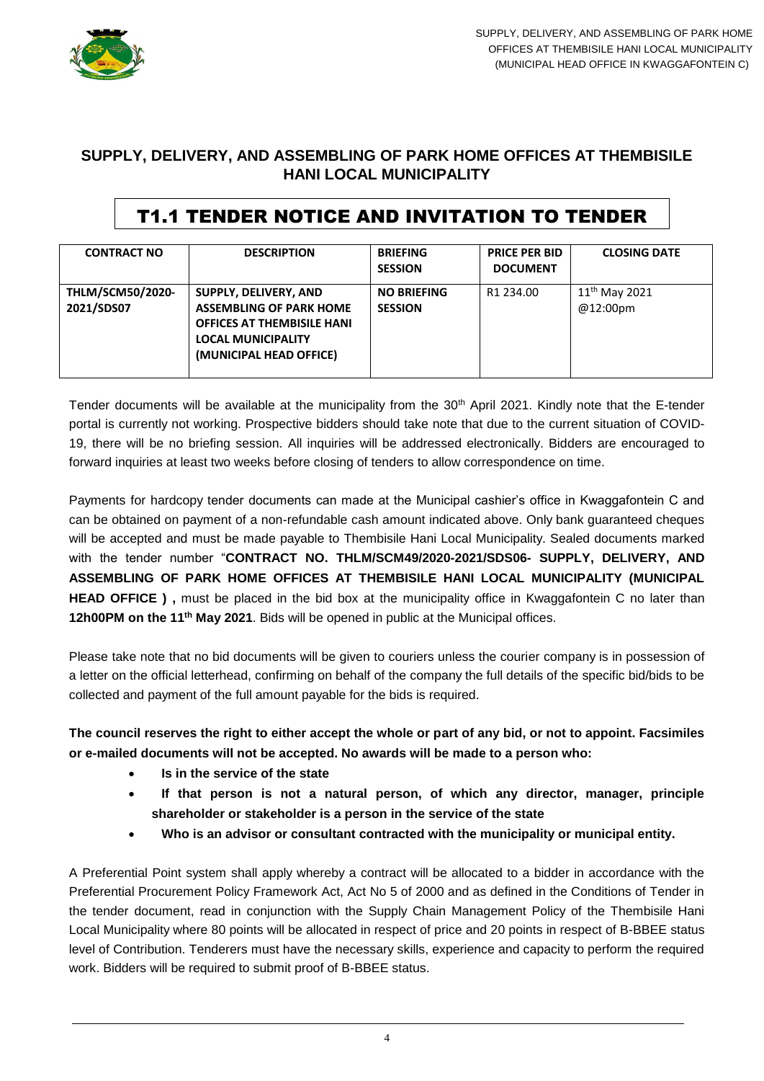

## **SUPPLY, DELIVERY, AND ASSEMBLING OF PARK HOME OFFICES AT THEMBISILE HANI LOCAL MUNICIPALITY**

# T1.1 TENDER NOTICE AND INVITATION TO TENDER

| <b>CONTRACT NO</b>                    | <b>DESCRIPTION</b>                                                                                                                                          | <b>BRIEFING</b><br><b>SESSION</b>    | <b>PRICE PER BID</b><br><b>DOCUMENT</b> | <b>CLOSING DATE</b>            |
|---------------------------------------|-------------------------------------------------------------------------------------------------------------------------------------------------------------|--------------------------------------|-----------------------------------------|--------------------------------|
| <b>THLM/SCM50/2020-</b><br>2021/SDS07 | <b>SUPPLY, DELIVERY, AND</b><br><b>ASSEMBLING OF PARK HOME</b><br><b>OFFICES AT THEMBISILE HANI</b><br><b>LOCAL MUNICIPALITY</b><br>(MUNICIPAL HEAD OFFICE) | <b>NO BRIEFING</b><br><b>SESSION</b> | R <sub>1</sub> 234.00                   | $11^{th}$ May 2021<br>@12:00pm |

Tender documents will be available at the municipality from the 30<sup>th</sup> April 2021. Kindly note that the E-tender portal is currently not working. Prospective bidders should take note that due to the current situation of COVID-19, there will be no briefing session. All inquiries will be addressed electronically. Bidders are encouraged to forward inquiries at least two weeks before closing of tenders to allow correspondence on time.

Payments for hardcopy tender documents can made at the Municipal cashier's office in Kwaggafontein C and can be obtained on payment of a non-refundable cash amount indicated above. Only bank guaranteed cheques will be accepted and must be made payable to Thembisile Hani Local Municipality. Sealed documents marked with the tender number "**CONTRACT NO. THLM/SCM49/2020-2021/SDS06- SUPPLY, DELIVERY, AND ASSEMBLING OF PARK HOME OFFICES AT THEMBISILE HANI LOCAL MUNICIPALITY (MUNICIPAL HEAD OFFICE**), must be placed in the bid box at the municipality office in Kwaggafontein C no later than **12h00PM on the 11th May 2021**. Bids will be opened in public at the Municipal offices.

Please take note that no bid documents will be given to couriers unless the courier company is in possession of a letter on the official letterhead, confirming on behalf of the company the full details of the specific bid/bids to be collected and payment of the full amount payable for the bids is required.

### **The council reserves the right to either accept the whole or part of any bid, or not to appoint. Facsimiles or e-mailed documents will not be accepted. No awards will be made to a person who:**

- **Is in the service of the state**
- **If that person is not a natural person, of which any director, manager, principle shareholder or stakeholder is a person in the service of the state**
- **Who is an advisor or consultant contracted with the municipality or municipal entity.**

A Preferential Point system shall apply whereby a contract will be allocated to a bidder in accordance with the Preferential Procurement Policy Framework Act, Act No 5 of 2000 and as defined in the Conditions of Tender in the tender document, read in conjunction with the Supply Chain Management Policy of the Thembisile Hani Local Municipality where 80 points will be allocated in respect of price and 20 points in respect of B-BBEE status level of Contribution. Tenderers must have the necessary skills, experience and capacity to perform the required work. Bidders will be required to submit proof of B-BBEE status.